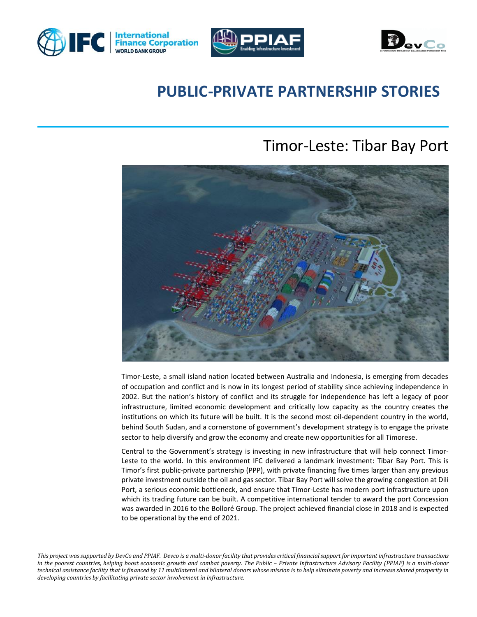





# **PUBLIC-PRIVATE PARTNERSHIP STORIES**

# Timor-Leste: Tibar Bay Port



Timor-Leste, a small island nation located between Australia and Indonesia, is emerging from decades of occupation and conflict and is now in its longest period of stability since achieving independence in 2002. But the nation's history of conflict and its struggle for independence has left a legacy of poor infrastructure, limited economic development and critically low capacity as the country creates the institutions on which its future will be built. It is the second most oil-dependent country in the world, behind South Sudan, and a cornerstone of government's development strategy is to engage the private sector to help diversify and grow the economy and create new opportunities for all Timorese.

Central to the Government's strategy is investing in new infrastructure that will help connect Timor-Leste to the world. In this environment IFC delivered a landmark investment: Tibar Bay Port. This is Timor's first public-private partnership (PPP), with private financing five times larger than any previous private investment outside the oil and gas sector. Tibar Bay Port will solve the growing congestion at Dili Port, a serious economic bottleneck, and ensure that Timor-Leste has modern port infrastructure upon which its trading future can be built. A competitive international tender to award the port Concession was awarded in 2016 to the Bolloré Group. The project achieved financial close in 2018 and is expected to be operational by the end of 2021.

*This project was supported by DevCo and PPIAF. Devco is a multi-donor facility that provides critical financial support for important infrastructure transactions*  in the poorest countries, helping boost economic growth and combat poverty. The Public - Private Infrastructure Advisory Facility (PPIAF) is a multi-donor *technical assistance facility that is financed by 11 multilateral and bilateral donors whose mission is to help eliminate poverty and increase shared prosperity in developing countries by facilitating private sector involvement in infrastructure.*